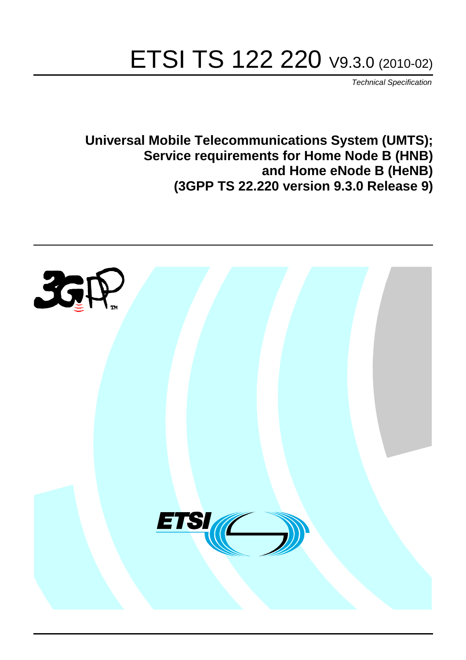# ETSI TS 122 220 V9.3.0 (2010-02)

*Technical Specification*

**Universal Mobile Telecommunications System (UMTS); Service requirements for Home Node B (HNB) and Home eNode B (HeNB) (3GPP TS 22.220 version 9.3.0 Release 9)**

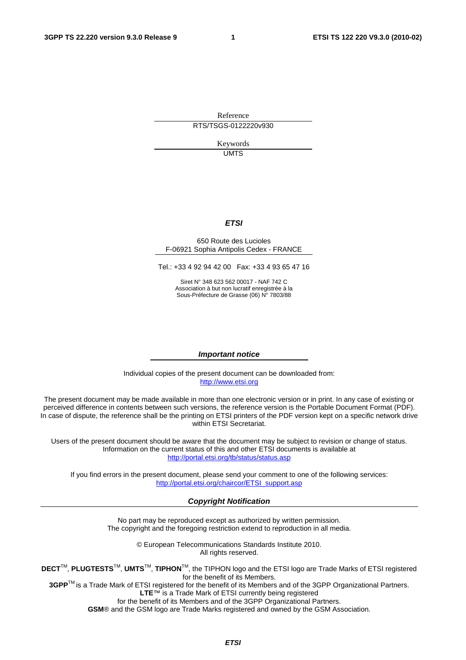Reference RTS/TSGS-0122220v930

> Keywords UMTS

#### *ETSI*

#### 650 Route des Lucioles F-06921 Sophia Antipolis Cedex - FRANCE

Tel.: +33 4 92 94 42 00 Fax: +33 4 93 65 47 16

Siret N° 348 623 562 00017 - NAF 742 C Association à but non lucratif enregistrée à la Sous-Préfecture de Grasse (06) N° 7803/88

#### *Important notice*

Individual copies of the present document can be downloaded from: [http://www.etsi.org](http://www.etsi.org/)

The present document may be made available in more than one electronic version or in print. In any case of existing or perceived difference in contents between such versions, the reference version is the Portable Document Format (PDF). In case of dispute, the reference shall be the printing on ETSI printers of the PDF version kept on a specific network drive within ETSI Secretariat.

Users of the present document should be aware that the document may be subject to revision or change of status. Information on the current status of this and other ETSI documents is available at <http://portal.etsi.org/tb/status/status.asp>

If you find errors in the present document, please send your comment to one of the following services: [http://portal.etsi.org/chaircor/ETSI\\_support.asp](http://portal.etsi.org/chaircor/ETSI_support.asp)

#### *Copyright Notification*

No part may be reproduced except as authorized by written permission. The copyright and the foregoing restriction extend to reproduction in all media.

> © European Telecommunications Standards Institute 2010. All rights reserved.

**DECT**TM, **PLUGTESTS**TM, **UMTS**TM, **TIPHON**TM, the TIPHON logo and the ETSI logo are Trade Marks of ETSI registered for the benefit of its Members.

**3GPP**TM is a Trade Mark of ETSI registered for the benefit of its Members and of the 3GPP Organizational Partners. **LTE**™ is a Trade Mark of ETSI currently being registered

for the benefit of its Members and of the 3GPP Organizational Partners.

**GSM**® and the GSM logo are Trade Marks registered and owned by the GSM Association.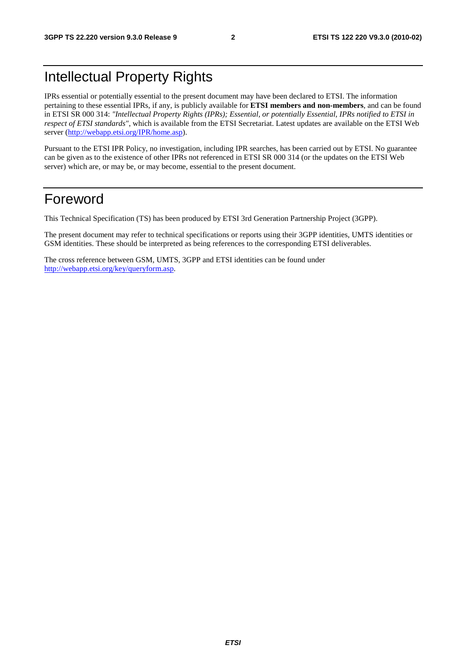## Intellectual Property Rights

IPRs essential or potentially essential to the present document may have been declared to ETSI. The information pertaining to these essential IPRs, if any, is publicly available for **ETSI members and non-members**, and can be found in ETSI SR 000 314: *"Intellectual Property Rights (IPRs); Essential, or potentially Essential, IPRs notified to ETSI in respect of ETSI standards"*, which is available from the ETSI Secretariat. Latest updates are available on the ETSI Web server [\(http://webapp.etsi.org/IPR/home.asp](http://webapp.etsi.org/IPR/home.asp)).

Pursuant to the ETSI IPR Policy, no investigation, including IPR searches, has been carried out by ETSI. No guarantee can be given as to the existence of other IPRs not referenced in ETSI SR 000 314 (or the updates on the ETSI Web server) which are, or may be, or may become, essential to the present document.

## Foreword

This Technical Specification (TS) has been produced by ETSI 3rd Generation Partnership Project (3GPP).

The present document may refer to technical specifications or reports using their 3GPP identities, UMTS identities or GSM identities. These should be interpreted as being references to the corresponding ETSI deliverables.

The cross reference between GSM, UMTS, 3GPP and ETSI identities can be found under [http://webapp.etsi.org/key/queryform.asp.](http://webapp.etsi.org/key/queryform.asp)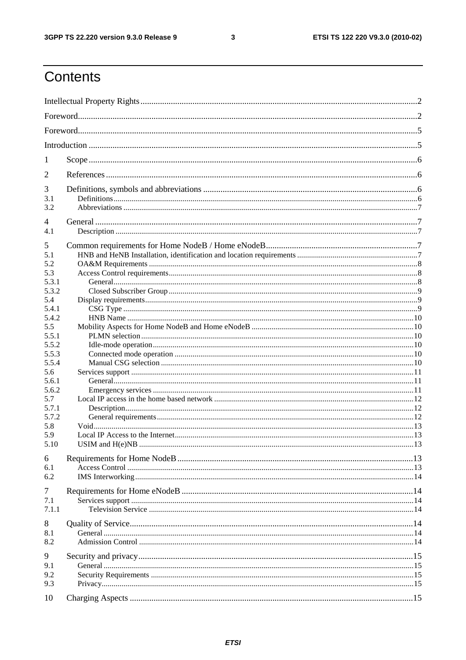#### $\mathbf{3}$

## Contents

| 1            |                   |  |  |  |  |  |
|--------------|-------------------|--|--|--|--|--|
| 2            |                   |  |  |  |  |  |
| 3            |                   |  |  |  |  |  |
| 3.1          |                   |  |  |  |  |  |
| 3.2          |                   |  |  |  |  |  |
| 4            |                   |  |  |  |  |  |
| 4.1          |                   |  |  |  |  |  |
| 5            |                   |  |  |  |  |  |
| 5.1          |                   |  |  |  |  |  |
| 5.2          |                   |  |  |  |  |  |
| 5.3<br>5.3.1 |                   |  |  |  |  |  |
| 5.3.2        |                   |  |  |  |  |  |
| 5.4          |                   |  |  |  |  |  |
| 5.4.1        |                   |  |  |  |  |  |
| 5.4.2        |                   |  |  |  |  |  |
| 5.5          |                   |  |  |  |  |  |
| 5.5.1        |                   |  |  |  |  |  |
| 5.5.2        |                   |  |  |  |  |  |
| 5.5.3        |                   |  |  |  |  |  |
| 5.5.4        |                   |  |  |  |  |  |
| 5.6          |                   |  |  |  |  |  |
| 5.6.1        |                   |  |  |  |  |  |
| 5.6.2        |                   |  |  |  |  |  |
| 5.7          |                   |  |  |  |  |  |
| 5.7.1        |                   |  |  |  |  |  |
| 5.7.2        |                   |  |  |  |  |  |
| 5.8          |                   |  |  |  |  |  |
| 5.9          |                   |  |  |  |  |  |
| 5.10         | USIM and $H(e)NB$ |  |  |  |  |  |
| 6            |                   |  |  |  |  |  |
| 6.1          |                   |  |  |  |  |  |
| 6.2          |                   |  |  |  |  |  |
| $\tau$       |                   |  |  |  |  |  |
| 7.1          |                   |  |  |  |  |  |
| 7.1.1        |                   |  |  |  |  |  |
| 8            |                   |  |  |  |  |  |
| 8.1          |                   |  |  |  |  |  |
| 8.2          |                   |  |  |  |  |  |
|              |                   |  |  |  |  |  |
| 9            |                   |  |  |  |  |  |
| 9.1          |                   |  |  |  |  |  |
| 9.2          |                   |  |  |  |  |  |
| 9.3          |                   |  |  |  |  |  |
| 10           |                   |  |  |  |  |  |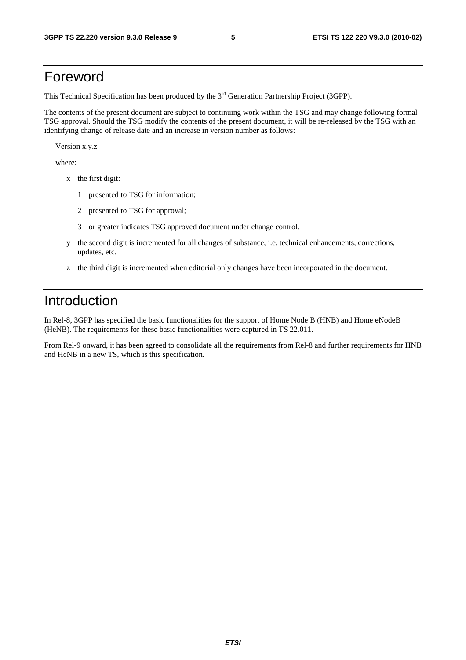## Foreword

This Technical Specification has been produced by the 3<sup>rd</sup> Generation Partnership Project (3GPP).

The contents of the present document are subject to continuing work within the TSG and may change following formal TSG approval. Should the TSG modify the contents of the present document, it will be re-released by the TSG with an identifying change of release date and an increase in version number as follows:

Version x.y.z

where:

- x the first digit:
	- 1 presented to TSG for information;
	- 2 presented to TSG for approval;
	- 3 or greater indicates TSG approved document under change control.
- y the second digit is incremented for all changes of substance, i.e. technical enhancements, corrections, updates, etc.
- z the third digit is incremented when editorial only changes have been incorporated in the document.

## Introduction

In Rel-8, 3GPP has specified the basic functionalities for the support of Home Node B (HNB) and Home eNodeB (HeNB). The requirements for these basic functionalities were captured in TS 22.011.

From Rel-9 onward, it has been agreed to consolidate all the requirements from Rel-8 and further requirements for HNB and HeNB in a new TS, which is this specification.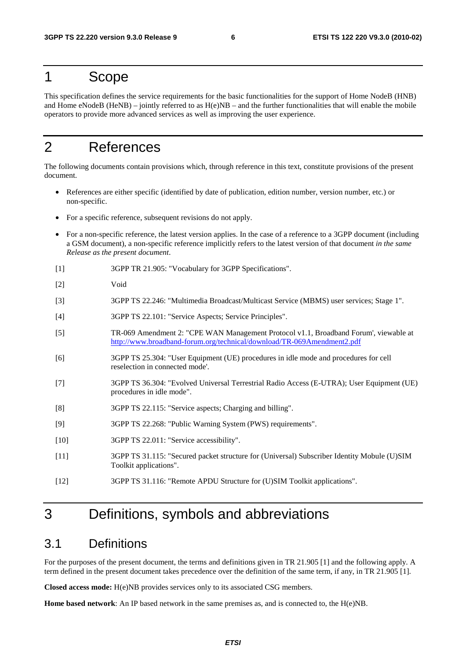### 1 Scope

This specification defines the service requirements for the basic functionalities for the support of Home NodeB (HNB) and Home eNodeB (HeNB) – jointly referred to as  $H(e)NB$  – and the further functionalities that will enable the mobile operators to provide more advanced services as well as improving the user experience.

## 2 References

The following documents contain provisions which, through reference in this text, constitute provisions of the present document.

- References are either specific (identified by date of publication, edition number, version number, etc.) or non-specific.
- For a specific reference, subsequent revisions do not apply.
- For a non-specific reference, the latest version applies. In the case of a reference to a 3GPP document (including a GSM document), a non-specific reference implicitly refers to the latest version of that document *in the same Release as the present document*.
- [1] 3GPP TR 21.905: "Vocabulary for 3GPP Specifications".
- [2] Void
- [3] 3GPP TS 22.246: "Multimedia Broadcast/Multicast Service (MBMS) user services; Stage 1".
- [4] 3GPP TS 22.101: "Service Aspects; Service Principles".
- [5] TR-069 Amendment 2: "CPE WAN Management Protocol v1.1, Broadband Forum', viewable at [http://www.broadband-forum.org/technical/download/TR-069Amendment2.pd](http://www.broadband-forum.org/technical/download/TR-069Amendment2.pdf)f
- [6] 3GPP TS 25.304: "User Equipment (UE) procedures in idle mode and procedures for cell reselection in connected mode'.
- [7] 3GPP TS 36.304: "Evolved Universal Terrestrial Radio Access (E-UTRA); User Equipment (UE) procedures in idle mode".
- [8] 3GPP TS 22.115: "Service aspects; Charging and billing".
- [9] 3GPP TS 22.268: "Public Warning System (PWS) requirements".
- [10] 3GPP TS 22.011: "Service accessibility".
- [11] 3GPP TS 31.115: "Secured packet structure for (Universal) Subscriber Identity Mobule (U)SIM Toolkit applications".
- [12] 3GPP TS 31.116: "Remote APDU Structure for (U)SIM Toolkit applications".

## 3 Definitions, symbols and abbreviations

#### 3.1 Definitions

For the purposes of the present document, the terms and definitions given in TR 21.905 [1] and the following apply. A term defined in the present document takes precedence over the definition of the same term, if any, in TR 21.905 [1].

**Closed access mode:** H(e)NB provides services only to its associated CSG members.

**Home based network**: An IP based network in the same premises as, and is connected to, the H(e)NB.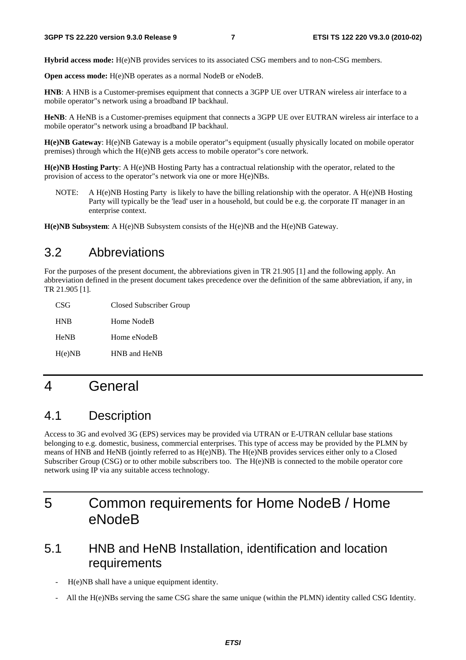**Hybrid access mode:** H(e)NB provides services to its associated CSG members and to non-CSG members.

**Open access mode:** H(e)NB operates as a normal NodeB or eNodeB.

**HNB**: A HNB is a Customer-premises equipment that connects a 3GPP UE over UTRAN wireless air interface to a mobile operator"s network using a broadband IP backhaul.

**HeNB**: A HeNB is a Customer-premises equipment that connects a 3GPP UE over EUTRAN wireless air interface to a mobile operator"s network using a broadband IP backhaul.

**H(e)NB Gateway**: H(e)NB Gateway is a mobile operator"s equipment (usually physically located on mobile operator premises) through which the H(e)NB gets access to mobile operator"s core network.

**H(e)NB Hosting Party**: A H(e)NB Hosting Party has a contractual relationship with the operator, related to the provision of access to the operator"s network via one or more H(e)NBs.

NOTE: A H(e)NB Hosting Party is likely to have the billing relationship with the operator. A H(e)NB Hosting Party will typically be the 'lead' user in a household, but could be e.g. the corporate IT manager in an enterprise context.

**H(e)NB Subsystem**: A H(e)NB Subsystem consists of the H(e)NB and the H(e)NB Gateway.

### 3.2 Abbreviations

For the purposes of the present document, the abbreviations given in TR 21.905 [1] and the following apply. An abbreviation defined in the present document takes precedence over the definition of the same abbreviation, if any, in TR 21.905 [1].

| CSG         | Closed Subscriber Group |
|-------------|-------------------------|
| <b>HNB</b>  | Home NodeB              |
| <b>HeNB</b> | Home eNodeB             |
| H(e)NB      | HNB and HeNB            |

## 4 General

### 4.1 Description

Access to 3G and evolved 3G (EPS) services may be provided via UTRAN or E-UTRAN cellular base stations belonging to e.g. domestic, business, commercial enterprises. This type of access may be provided by the PLMN by means of HNB and HeNB (jointly referred to as H(e)NB). The H(e)NB provides services either only to a Closed Subscriber Group (CSG) or to other mobile subscribers too. The H(e)NB is connected to the mobile operator core network using IP via any suitable access technology.

## 5 Common requirements for Home NodeB / Home eNodeB

### 5.1 HNB and HeNB Installation, identification and location requirements

- H(e)NB shall have a unique equipment identity.
- All the H(e)NBs serving the same CSG share the same unique (within the PLMN) identity called CSG Identity.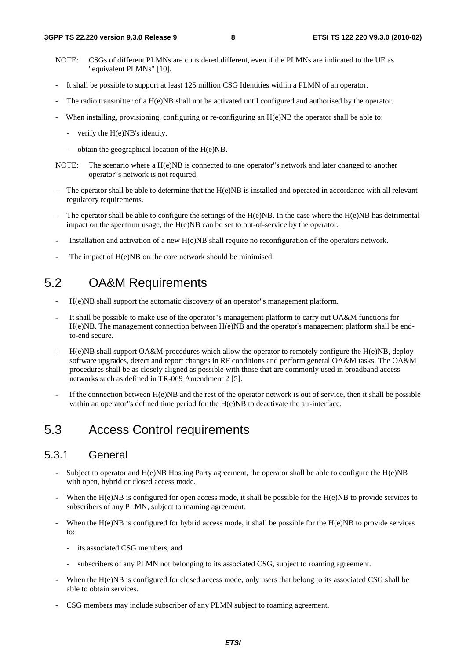- NOTE: CSGs of different PLMNs are considered different, even if the PLMNs are indicated to the UE as "equivalent PLMNs" [10].
- It shall be possible to support at least 125 million CSG Identities within a PLMN of an operator.
- The radio transmitter of a H(e)NB shall not be activated until configured and authorised by the operator.
- When installing, provisioning, configuring or re-configuring an  $H(e)NB$  the operator shall be able to:
	- verify the H(e)NB's identity.
	- obtain the geographical location of the H(e)NB.
- NOTE: The scenario where a H(e)NB is connected to one operator"s network and later changed to another operator"s network is not required.
- The operator shall be able to determine that the H(e)NB is installed and operated in accordance with all relevant regulatory requirements.
- The operator shall be able to configure the settings of the  $H(e)NB$ . In the case where the  $H(e)NB$  has detrimental impact on the spectrum usage, the H(e)NB can be set to out-of-service by the operator.
- Installation and activation of a new H(e)NB shall require no reconfiguration of the operators network.
- The impact of H(e)NB on the core network should be minimised.

## 5.2 OA&M Requirements

- H(e)NB shall support the automatic discovery of an operator"s management platform.
- It shall be possible to make use of the operator"s management platform to carry out OA&M functions for H(e)NB. The management connection between H(e)NB and the operator's management platform shall be endto-end secure.
- H(e)NB shall support OA&M procedures which allow the operator to remotely configure the H(e)NB, deploy software upgrades, detect and report changes in RF conditions and perform general OA&M tasks. The OA&M procedures shall be as closely aligned as possible with those that are commonly used in broadband access networks such as defined in TR-069 Amendment 2 [5].
- If the connection between  $H(e)NB$  and the rest of the operator network is out of service, then it shall be possible within an operator"s defined time period for the H(e)NB to deactivate the air-interface.

## 5.3 Access Control requirements

#### 5.3.1 General

- Subject to operator and  $H(e)NB$  Hosting Party agreement, the operator shall be able to configure the  $H(e)NB$ with open, hybrid or closed access mode.
- When the  $H(e)NB$  is configured for open access mode, it shall be possible for the  $H(e)NB$  to provide services to subscribers of any PLMN, subject to roaming agreement.
- When the H(e)NB is configured for hybrid access mode, it shall be possible for the H(e)NB to provide services to:
	- its associated CSG members, and
	- subscribers of any PLMN not belonging to its associated CSG, subject to roaming agreement.
- When the H(e)NB is configured for closed access mode, only users that belong to its associated CSG shall be able to obtain services.
- CSG members may include subscriber of any PLMN subject to roaming agreement.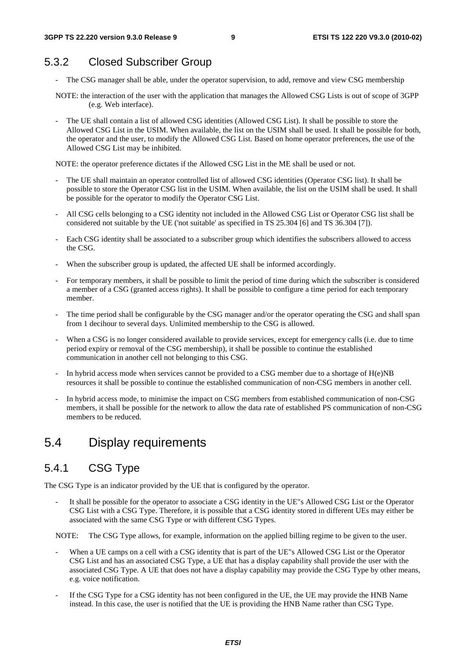## 5.3.2 Closed Subscriber Group

- The CSG manager shall be able, under the operator supervision, to add, remove and view CSG membership
- NOTE: the interaction of the user with the application that manages the Allowed CSG Lists is out of scope of 3GPP (e.g. Web interface).
- The UE shall contain a list of allowed CSG identities (Allowed CSG List). It shall be possible to store the Allowed CSG List in the USIM. When available, the list on the USIM shall be used. It shall be possible for both, the operator and the user, to modify the Allowed CSG List. Based on home operator preferences, the use of the Allowed CSG List may be inhibited.

NOTE: the operator preference dictates if the Allowed CSG List in the ME shall be used or not.

- The UE shall maintain an operator controlled list of allowed CSG identities (Operator CSG list). It shall be possible to store the Operator CSG list in the USIM. When available, the list on the USIM shall be used. It shall be possible for the operator to modify the Operator CSG List.
- All CSG cells belonging to a CSG identity not included in the Allowed CSG List or Operator CSG list shall be considered not suitable by the UE ('not suitable' as specified in TS 25.304 [6] and TS 36.304 [7]).
- Each CSG identity shall be associated to a subscriber group which identifies the subscribers allowed to access the CSG.
- When the subscriber group is updated, the affected UE shall be informed accordingly.
- For temporary members, it shall be possible to limit the period of time during which the subscriber is considered a member of a CSG (granted access rights). It shall be possible to configure a time period for each temporary member.
- The time period shall be configurable by the CSG manager and/or the operator operating the CSG and shall span from 1 decihour to several days. Unlimited membership to the CSG is allowed.
- When a CSG is no longer considered available to provide services, except for emergency calls (i.e. due to time period expiry or removal of the CSG membership), it shall be possible to continue the established communication in another cell not belonging to this CSG.
- In hybrid access mode when services cannot be provided to a CSG member due to a shortage of  $H(e)NB$ resources it shall be possible to continue the established communication of non-CSG members in another cell.
- In hybrid access mode, to minimise the impact on CSG members from established communication of non-CSG members, it shall be possible for the network to allow the data rate of established PS communication of non-CSG members to be reduced.

## 5.4 Display requirements

### 5.4.1 CSG Type

The CSG Type is an indicator provided by the UE that is configured by the operator.

It shall be possible for the operator to associate a CSG identity in the UE"s Allowed CSG List or the Operator CSG List with a CSG Type. Therefore, it is possible that a CSG identity stored in different UEs may either be associated with the same CSG Type or with different CSG Types.

NOTE: The CSG Type allows, for example, information on the applied billing regime to be given to the user.

- When a UE camps on a cell with a CSG identity that is part of the UE"s Allowed CSG List or the Operator CSG List and has an associated CSG Type, a UE that has a display capability shall provide the user with the associated CSG Type. A UE that does not have a display capability may provide the CSG Type by other means, e.g. voice notification.
- If the CSG Type for a CSG identity has not been configured in the UE, the UE may provide the HNB Name instead. In this case, the user is notified that the UE is providing the HNB Name rather than CSG Type.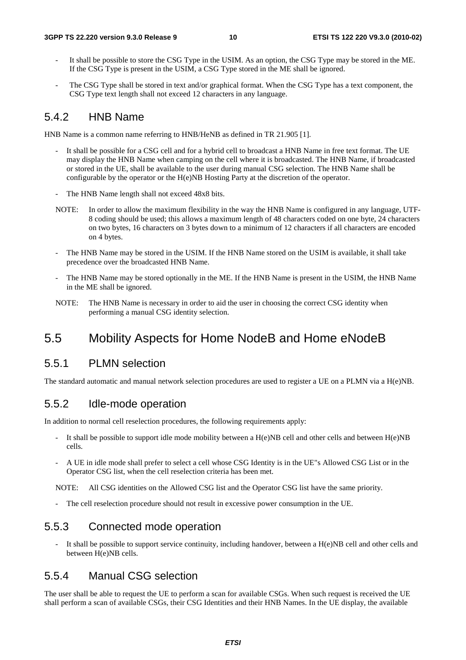- It shall be possible to store the CSG Type in the USIM. As an option, the CSG Type may be stored in the ME. If the CSG Type is present in the USIM, a CSG Type stored in the ME shall be ignored.
- The CSG Type shall be stored in text and/or graphical format. When the CSG Type has a text component, the CSG Type text length shall not exceed 12 characters in any language.

#### 5.4.2 HNB Name

HNB Name is a common name referring to HNB/HeNB as defined in TR 21.905 [1].

- It shall be possible for a CSG cell and for a hybrid cell to broadcast a HNB Name in free text format. The UE may display the HNB Name when camping on the cell where it is broadcasted. The HNB Name, if broadcasted or stored in the UE, shall be available to the user during manual CSG selection. The HNB Name shall be configurable by the operator or the H(e)NB Hosting Party at the discretion of the operator.
- The HNB Name length shall not exceed 48x8 bits.
- NOTE: In order to allow the maximum flexibility in the way the HNB Name is configured in any language, UTF-8 coding should be used; this allows a maximum length of 48 characters coded on one byte, 24 characters on two bytes, 16 characters on 3 bytes down to a minimum of 12 characters if all characters are encoded on 4 bytes.
- The HNB Name may be stored in the USIM. If the HNB Name stored on the USIM is available, it shall take precedence over the broadcasted HNB Name.
- The HNB Name may be stored optionally in the ME. If the HNB Name is present in the USIM, the HNB Name in the ME shall be ignored.
- NOTE: The HNB Name is necessary in order to aid the user in choosing the correct CSG identity when performing a manual CSG identity selection.

### 5.5 Mobility Aspects for Home NodeB and Home eNodeB

#### 5.5.1 PLMN selection

The standard automatic and manual network selection procedures are used to register a UE on a PLMN via a H(e)NB.

#### 5.5.2 Idle-mode operation

In addition to normal cell reselection procedures, the following requirements apply:

- It shall be possible to support idle mode mobility between a  $H(e)NB$  cell and other cells and between  $H(e)NB$ cells.
- A UE in idle mode shall prefer to select a cell whose CSG Identity is in the UE"s Allowed CSG List or in the Operator CSG list, when the cell reselection criteria has been met.

NOTE: All CSG identities on the Allowed CSG list and the Operator CSG list have the same priority.

The cell reselection procedure should not result in excessive power consumption in the UE.

#### 5.5.3 Connected mode operation

It shall be possible to support service continuity, including handover, between a  $H(e)NB$  cell and other cells and between H(e)NB cells.

#### 5.5.4 Manual CSG selection

The user shall be able to request the UE to perform a scan for available CSGs. When such request is received the UE shall perform a scan of available CSGs, their CSG Identities and their HNB Names. In the UE display, the available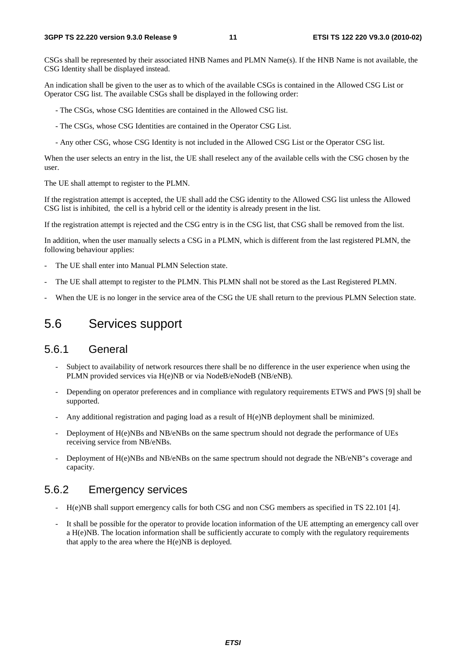CSGs shall be represented by their associated HNB Names and PLMN Name(s). If the HNB Name is not available, the CSG Identity shall be displayed instead.

An indication shall be given to the user as to which of the available CSGs is contained in the Allowed CSG List or Operator CSG list. The available CSGs shall be displayed in the following order:

- The CSGs, whose CSG Identities are contained in the Allowed CSG list.
- The CSGs, whose CSG Identities are contained in the Operator CSG List.
- Any other CSG, whose CSG Identity is not included in the Allowed CSG List or the Operator CSG list.

When the user selects an entry in the list, the UE shall reselect any of the available cells with the CSG chosen by the user.

The UE shall attempt to register to the PLMN.

If the registration attempt is accepted, the UE shall add the CSG identity to the Allowed CSG list unless the Allowed CSG list is inhibited, the cell is a hybrid cell or the identity is already present in the list.

If the registration attempt is rejected and the CSG entry is in the CSG list, that CSG shall be removed from the list.

In addition, when the user manually selects a CSG in a PLMN, which is different from the last registered PLMN, the following behaviour applies:

- The UE shall enter into Manual PLMN Selection state.
- The UE shall attempt to register to the PLMN. This PLMN shall not be stored as the Last Registered PLMN.
- When the UE is no longer in the service area of the CSG the UE shall return to the previous PLMN Selection state.

### 5.6 Services support

#### 5.6.1 General

- Subject to availability of network resources there shall be no difference in the user experience when using the PLMN provided services via H(e)NB or via NodeB/eNodeB (NB/eNB).
- Depending on operator preferences and in compliance with regulatory requirements ETWS and PWS [9] shall be supported.
- Any additional registration and paging load as a result of  $H(e)NB$  deployment shall be minimized.
- Deployment of H(e)NBs and NB/eNBs on the same spectrum should not degrade the performance of UEs receiving service from NB/eNBs.
- Deployment of H(e)NBs and NB/eNBs on the same spectrum should not degrade the NB/eNB"s coverage and capacity.

#### 5.6.2 Emergency services

- H(e)NB shall support emergency calls for both CSG and non CSG members as specified in TS 22.101 [4].
- It shall be possible for the operator to provide location information of the UE attempting an emergency call over a H(e)NB. The location information shall be sufficiently accurate to comply with the regulatory requirements that apply to the area where the  $H(e)NB$  is deployed.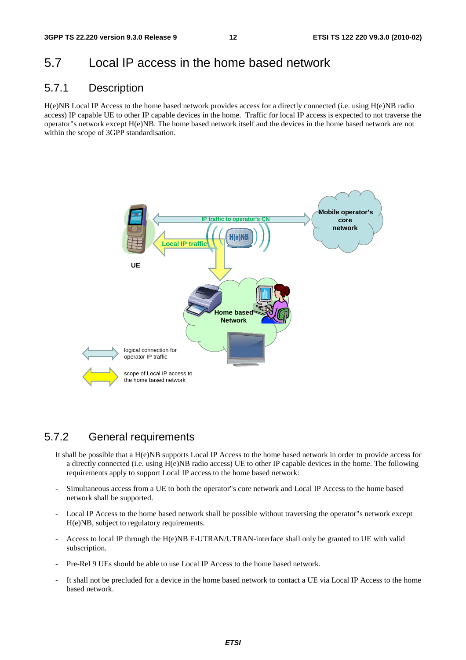### 5.7 Local IP access in the home based network

#### 5.7.1 Description

H(e)NB Local IP Access to the home based network provides access for a directly connected (i.e. using H(e)NB radio access) IP capable UE to other IP capable devices in the home. Traffic for local IP access is expected to not traverse the operator"s network except H(e)NB. The home based network itself and the devices in the home based network are not within the scope of 3GPP standardisation.



#### 5.7.2 General requirements

- It shall be possible that a H(e)NB supports Local IP Access to the home based network in order to provide access for a directly connected (i.e. using H(e)NB radio access) UE to other IP capable devices in the home. The following requirements apply to support Local IP access to the home based network:
- Simultaneous access from a UE to both the operator"s core network and Local IP Access to the home based network shall be supported.
- Local IP Access to the home based network shall be possible without traversing the operator"s network except H(e)NB, subject to regulatory requirements.
- Access to local IP through the H(e)NB E-UTRAN/UTRAN-interface shall only be granted to UE with valid subscription.
- Pre-Rel 9 UEs should be able to use Local IP Access to the home based network.
- It shall not be precluded for a device in the home based network to contact a UE via Local IP Access to the home based network.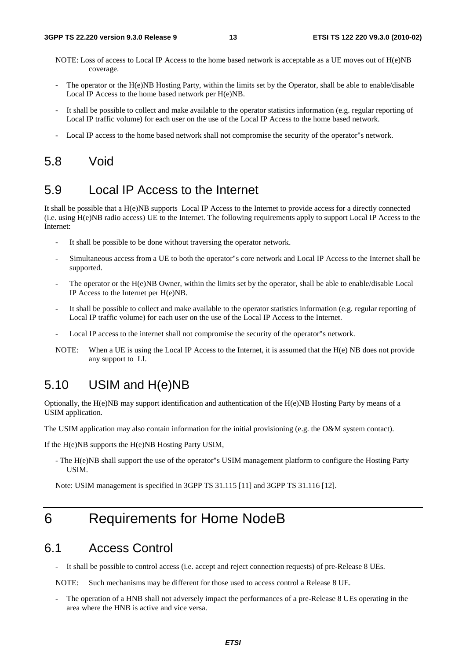- NOTE: Loss of access to Local IP Access to the home based network is acceptable as a UE moves out of H(e)NB coverage.
- The operator or the H(e)NB Hosting Party, within the limits set by the Operator, shall be able to enable/disable Local IP Access to the home based network per H(e)NB.
- It shall be possible to collect and make available to the operator statistics information (e.g. regular reporting of Local IP traffic volume) for each user on the use of the Local IP Access to the home based network.
- Local IP access to the home based network shall not compromise the security of the operator"s network.

### 5.8 Void

### 5.9 Local IP Access to the Internet

It shall be possible that a H(e)NB supports Local IP Access to the Internet to provide access for a directly connected (i.e. using H(e)NB radio access) UE to the Internet. The following requirements apply to support Local IP Access to the Internet:

- It shall be possible to be done without traversing the operator network.
- Simultaneous access from a UE to both the operator"s core network and Local IP Access to the Internet shall be supported.
- The operator or the H(e)NB Owner, within the limits set by the operator, shall be able to enable/disable Local IP Access to the Internet per H(e)NB.
- It shall be possible to collect and make available to the operator statistics information (e.g. regular reporting of Local IP traffic volume) for each user on the use of the Local IP Access to the Internet.
- Local IP access to the internet shall not compromise the security of the operator"s network.
- NOTE: When a UE is using the Local IP Access to the Internet, it is assumed that the H(e) NB does not provide any support to LI.

### 5.10 USIM and H(e)NB

Optionally, the H(e)NB may support identification and authentication of the H(e)NB Hosting Party by means of a USIM application.

The USIM application may also contain information for the initial provisioning (e.g. the O&M system contact).

If the H(e)NB supports the H(e)NB Hosting Party USIM,

- The H(e)NB shall support the use of the operator"s USIM management platform to configure the Hosting Party **IISIM.** 

Note: USIM management is specified in 3GPP TS 31.115 [11] and 3GPP TS 31.116 [12].

## 6 Requirements for Home NodeB

#### 6.1 Access Control

It shall be possible to control access (i.e. accept and reject connection requests) of pre-Release 8 UEs.

NOTE: Such mechanisms may be different for those used to access control a Release 8 UE.

The operation of a HNB shall not adversely impact the performances of a pre-Release 8 UEs operating in the area where the HNB is active and vice versa.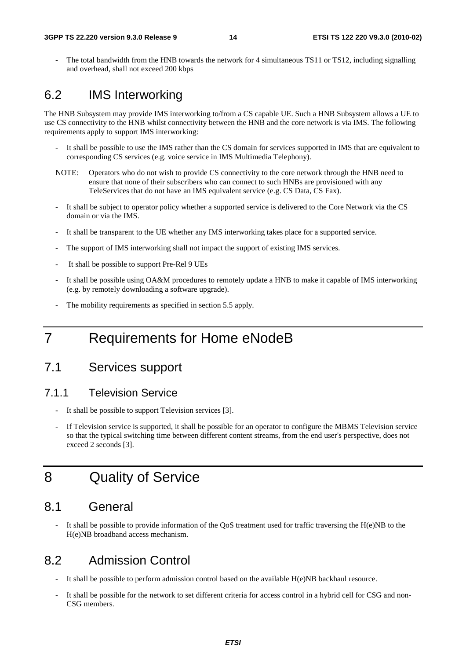The total bandwidth from the HNB towards the network for 4 simultaneous TS11 or TS12, including signalling and overhead, shall not exceed 200 kbps

### 6.2 IMS Interworking

The HNB Subsystem may provide IMS interworking to/from a CS capable UE. Such a HNB Subsystem allows a UE to use CS connectivity to the HNB whilst connectivity between the HNB and the core network is via IMS. The following requirements apply to support IMS interworking:

- It shall be possible to use the IMS rather than the CS domain for services supported in IMS that are equivalent to corresponding CS services (e.g. voice service in IMS Multimedia Telephony).
- NOTE: Operators who do not wish to provide CS connectivity to the core network through the HNB need to ensure that none of their subscribers who can connect to such HNBs are provisioned with any TeleServices that do not have an IMS equivalent service (e.g. CS Data, CS Fax).
- It shall be subject to operator policy whether a supported service is delivered to the Core Network via the CS domain or via the IMS.
- It shall be transparent to the UE whether any IMS interworking takes place for a supported service.
- The support of IMS interworking shall not impact the support of existing IMS services.
- It shall be possible to support Pre-Rel 9 UEs
- It shall be possible using OA&M procedures to remotely update a HNB to make it capable of IMS interworking (e.g. by remotely downloading a software upgrade).
- The mobility requirements as specified in section 5.5 apply.

## 7 Requirements for Home eNodeB

### 7.1 Services support

#### 7.1.1 Television Service

- It shall be possible to support Television services [3].
- If Television service is supported, it shall be possible for an operator to configure the MBMS Television service so that the typical switching time between different content streams, from the end user's perspective, does not exceed 2 seconds [3].

## 8 Quality of Service

### 8.1 General

It shall be possible to provide information of the  $\overline{QoS}$  treatment used for traffic traversing the H(e)NB to the H(e)NB broadband access mechanism.

### 8.2 Admission Control

- It shall be possible to perform admission control based on the available H(e)NB backhaul resource.
- It shall be possible for the network to set different criteria for access control in a hybrid cell for CSG and non-CSG members.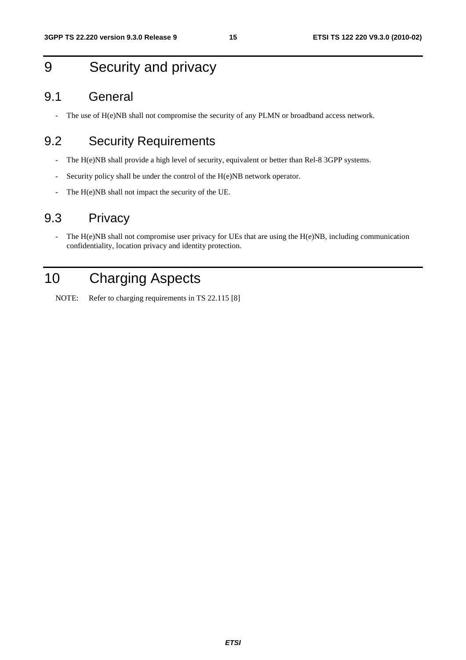## 9 Security and privacy

#### 9.1 General

- The use of H(e)NB shall not compromise the security of any PLMN or broadband access network.

## 9.2 Security Requirements

- The H(e)NB shall provide a high level of security, equivalent or better than Rel-8 3GPP systems.
- Security policy shall be under the control of the H(e)NB network operator.
- The H(e)NB shall not impact the security of the UE.

### 9.3 Privacy

- The H(e)NB shall not compromise user privacy for UEs that are using the H(e)NB, including communication confidentiality, location privacy and identity protection.

## 10 Charging Aspects

NOTE: Refer to charging requirements in TS 22.115 [8]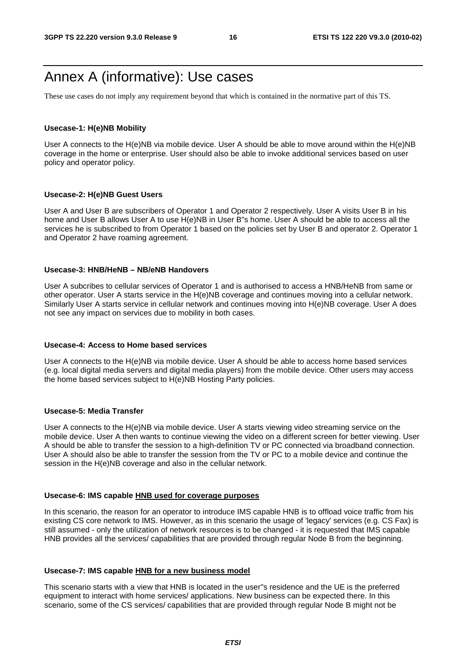## Annex A (informative): Use cases

These use cases do not imply any requirement beyond that which is contained in the normative part of this TS.

#### **Usecase-1: H(e)NB Mobility**

User A connects to the H(e)NB via mobile device. User A should be able to move around within the H(e)NB coverage in the home or enterprise. User should also be able to invoke additional services based on user policy and operator policy.

#### **Usecase-2: H(e)NB Guest Users**

User A and User B are subscribers of Operator 1 and Operator 2 respectively. User A visits User B in his home and User B allows User A to use H(e)NB in User B"s home. User A should be able to access all the services he is subscribed to from Operator 1 based on the policies set by User B and operator 2. Operator 1 and Operator 2 have roaming agreement.

#### **Usecase-3: HNB/HeNB – NB/eNB Handovers**

User A subcribes to cellular services of Operator 1 and is authorised to access a HNB/HeNB from same or other operator. User A starts service in the H(e)NB coverage and continues moving into a cellular network. Similarly User A starts service in cellular network and continues moving into H(e)NB coverage. User A does not see any impact on services due to mobility in both cases.

#### **Usecase-4: Access to Home based services**

User A connects to the H(e)NB via mobile device. User A should be able to access home based services (e.g. local digital media servers and digital media players) from the mobile device. Other users may access the home based services subject to H(e)NB Hosting Party policies.

#### **Usecase-5: Media Transfer**

User A connects to the H(e)NB via mobile device. User A starts viewing video streaming service on the mobile device. User A then wants to continue viewing the video on a different screen for better viewing. User A should be able to transfer the session to a high-definition TV or PC connected via broadband connection. User A should also be able to transfer the session from the TV or PC to a mobile device and continue the session in the H(e)NB coverage and also in the cellular network.

#### **Usecase-6: IMS capable HNB used for coverage purposes**

In this scenario, the reason for an operator to introduce IMS capable HNB is to offload voice traffic from his existing CS core network to IMS. However, as in this scenario the usage of 'legacy' services (e.g. CS Fax) is still assumed - only the utilization of network resources is to be changed - it is requested that IMS capable HNB provides all the services/ capabilities that are provided through regular Node B from the beginning.

#### **Usecase-7: IMS capable HNB for a new business model**

This scenario starts with a view that HNB is located in the user"s residence and the UE is the preferred equipment to interact with home services/ applications. New business can be expected there. In this scenario, some of the CS services/ capabilities that are provided through regular Node B might not be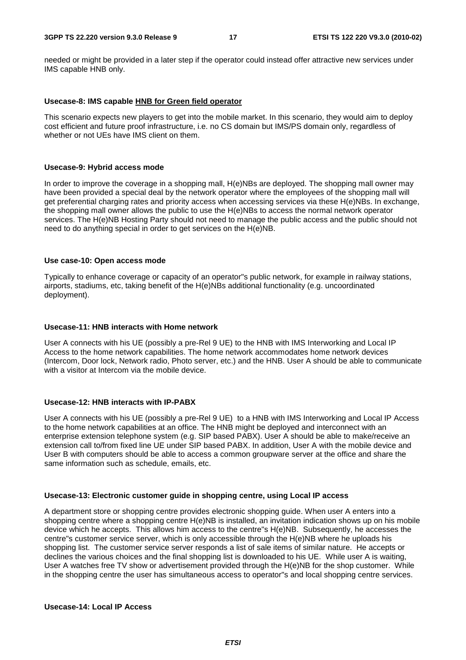needed or might be provided in a later step if the operator could instead offer attractive new services under IMS capable HNB only.

#### **Usecase-8: IMS capable HNB for Green field operator**

This scenario expects new players to get into the mobile market. In this scenario, they would aim to deploy cost efficient and future proof infrastructure, i.e. no CS domain but IMS/PS domain only, regardless of whether or not UEs have IMS client on them.

#### **Usecase-9: Hybrid access mode**

In order to improve the coverage in a shopping mall, H(e)NBs are deployed. The shopping mall owner may have been provided a special deal by the network operator where the employees of the shopping mall will get preferential charging rates and priority access when accessing services via these H(e)NBs. In exchange, the shopping mall owner allows the public to use the H(e)NBs to access the normal network operator services. The H(e)NB Hosting Party should not need to manage the public access and the public should not need to do anything special in order to get services on the H(e)NB.

#### **Use case-10: Open access mode**

Typically to enhance coverage or capacity of an operator"s public network, for example in railway stations, airports, stadiums, etc, taking benefit of the H(e)NBs additional functionality (e.g. uncoordinated deployment).

#### **Usecase-11: HNB interacts with Home network**

User A connects with his UE (possibly a pre-Rel 9 UE) to the HNB with IMS Interworking and Local IP Access to the home network capabilities. The home network accommodates home network devices (Intercom, Door lock, Network radio, Photo server, etc.) and the HNB. User A should be able to communicate with a visitor at Intercom via the mobile device.

#### **Usecase-12: HNB interacts with IP-PABX**

User A connects with his UE (possibly a pre-Rel 9 UE) to a HNB with IMS Interworking and Local IP Access to the home network capabilities at an office. The HNB might be deployed and interconnect with an enterprise extension telephone system (e.g. SIP based PABX). User A should be able to make/receive an extension call to/from fixed line UE under SIP based PABX. In addition, User A with the mobile device and User B with computers should be able to access a common groupware server at the office and share the same information such as schedule, emails, etc.

#### **Usecase-13: Electronic customer guide in shopping centre, using Local IP access**

A department store or shopping centre provides electronic shopping guide. When user A enters into a shopping centre where a shopping centre H(e)NB is installed, an invitation indication shows up on his mobile device which he accepts. This allows him access to the centre"s H(e)NB. Subsequently, he accesses the centre"s customer service server, which is only accessible through the H(e)NB where he uploads his shopping list. The customer service server responds a list of sale items of similar nature. He accepts or declines the various choices and the final shopping list is downloaded to his UE. While user A is waiting, User A watches free TV show or advertisement provided through the H(e)NB for the shop customer. While in the shopping centre the user has simultaneous access to operator"s and local shopping centre services.

#### **Usecase-14: Local IP Access**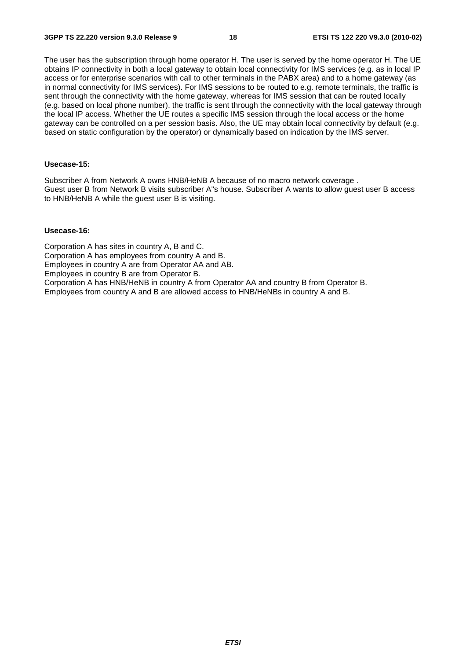The user has the subscription through home operator H. The user is served by the home operator H. The UE obtains IP connectivity in both a local gateway to obtain local connectivity for IMS services (e.g. as in local IP access or for enterprise scenarios with call to other terminals in the PABX area) and to a home gateway (as in normal connectivity for IMS services). For IMS sessions to be routed to e.g. remote terminals, the traffic is sent through the connectivity with the home gateway, whereas for IMS session that can be routed locally (e.g. based on local phone number), the traffic is sent through the connectivity with the local gateway through the local IP access. Whether the UE routes a specific IMS session through the local access or the home gateway can be controlled on a per session basis. Also, the UE may obtain local connectivity by default (e.g. based on static configuration by the operator) or dynamically based on indication by the IMS server.

#### **Usecase-15:**

Subscriber A from Network A owns HNB/HeNB A because of no macro network coverage . Guest user B from Network B visits subscriber A"s house. Subscriber A wants to allow guest user B access to HNB/HeNB A while the guest user B is visiting.

#### **Usecase-16:**

Corporation A has sites in country A, B and C. Corporation A has employees from country A and B. Employees in country A are from Operator AA and AB. Employees in country B are from Operator B. Corporation A has HNB/HeNB in country A from Operator AA and country B from Operator B. Employees from country A and B are allowed access to HNB/HeNBs in country A and B.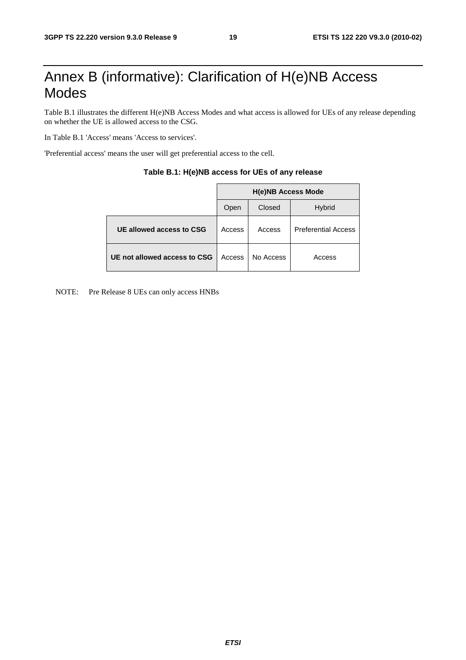## Annex B (informative): Clarification of H(e)NB Access Modes

Table B.1 illustrates the different H(e)NB Access Modes and what access is allowed for UEs of any release depending on whether the UE is allowed access to the CSG.

In Table B.1 'Access' means 'Access to services'.

'Preferential access' means the user will get preferential access to the cell.

|                              | <b>H(e)NB Access Mode</b> |           |                            |  |  |  |
|------------------------------|---------------------------|-----------|----------------------------|--|--|--|
|                              | Open                      | Closed    | <b>Hybrid</b>              |  |  |  |
| UE allowed access to CSG     | Access                    | Access    | <b>Preferential Access</b> |  |  |  |
| UE not allowed access to CSG | Access                    | No Access | Access                     |  |  |  |

#### **Table B.1: H(e)NB access for UEs of any release**

NOTE: Pre Release 8 UEs can only access HNBs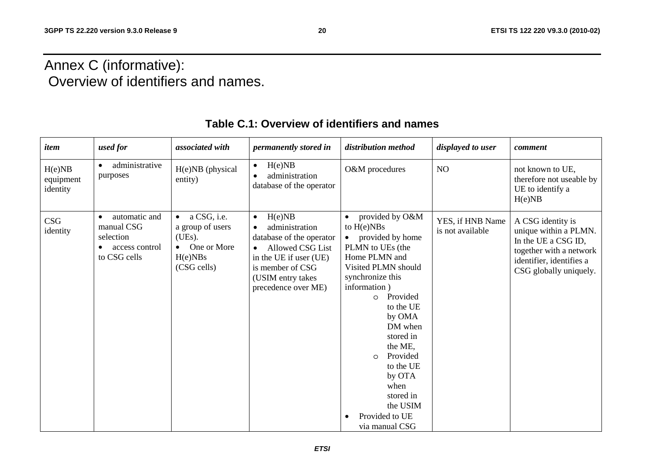## Annex C (informative): Overview of identifiers and names.

| item                            | used for                                                                                | associated with                                                                                 | permanently stored in                                                                                                                                                                               | distribution method                                                                                                                                                                                                                                                                                                                                     | displayed to user                    | comment                                                                                                                                            |
|---------------------------------|-----------------------------------------------------------------------------------------|-------------------------------------------------------------------------------------------------|-----------------------------------------------------------------------------------------------------------------------------------------------------------------------------------------------------|---------------------------------------------------------------------------------------------------------------------------------------------------------------------------------------------------------------------------------------------------------------------------------------------------------------------------------------------------------|--------------------------------------|----------------------------------------------------------------------------------------------------------------------------------------------------|
| H(e)NB<br>equipment<br>identity | administrative<br>$\bullet$<br>purposes                                                 | H(e)NB (physical<br>entity)                                                                     | H(e)NB<br>$\bullet$<br>administration<br>database of the operator                                                                                                                                   | O&M procedures                                                                                                                                                                                                                                                                                                                                          | NO                                   | not known to UE,<br>therefore not useable by<br>UE to identify a<br>H(e)NB                                                                         |
| CSG<br>identity                 | automatic and<br>$\bullet$<br>manual CSG<br>selection<br>access control<br>to CSG cells | a CSG, i.e.<br>$\bullet$<br>a group of users<br>(UEs).<br>One or More<br>H(e)NBs<br>(CSG cells) | H(e)NB<br>$\bullet$<br>administration<br>database of the operator<br><b>Allowed CSG List</b><br>$\bullet$<br>in the UE if user (UE)<br>is member of CSG<br>(USIM entry takes<br>precedence over ME) | provided by O&M<br>to $H(e)NBs$<br>provided by home<br>PLMN to UEs (the<br>Home PLMN and<br>Visited PLMN should<br>synchronize this<br>information)<br>Provided<br>$\circ$<br>to the UE<br>by OMA<br>DM when<br>stored in<br>the ME,<br>Provided<br>$\circ$<br>to the UE<br>by OTA<br>when<br>stored in<br>the USIM<br>Provided to UE<br>via manual CSG | YES, if HNB Name<br>is not available | A CSG identity is<br>unique within a PLMN.<br>In the UE a CSG ID,<br>together with a network<br>identifier, identifies a<br>CSG globally uniquely. |

### **Table C.1: Overview of identifiers and names**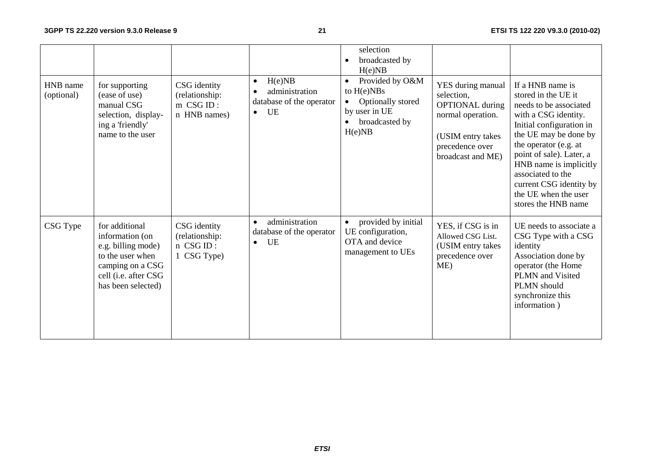|                        |                                                                                                                                               |                                                               |                                                                                      | selection<br>broadcasted by<br>H(e)NB                                                                          |                                                                                                                                             |                                                                                                                                                                                                                                                                                                                              |
|------------------------|-----------------------------------------------------------------------------------------------------------------------------------------------|---------------------------------------------------------------|--------------------------------------------------------------------------------------|----------------------------------------------------------------------------------------------------------------|---------------------------------------------------------------------------------------------------------------------------------------------|------------------------------------------------------------------------------------------------------------------------------------------------------------------------------------------------------------------------------------------------------------------------------------------------------------------------------|
| HNB name<br>(optional) | for supporting<br>(ease of use)<br>manual CSG<br>selection, display-<br>ing a 'friendly'<br>name to the user                                  | CSG identity<br>(relationship:<br>$m$ CSG ID:<br>n HNB names) | H(e)NB<br>$\bullet$<br>administration<br>database of the operator<br>UE<br>$\bullet$ | Provided by O&M<br>$\bullet$<br>to $H(e)NBs$<br>Optionally stored<br>by user in UE<br>broadcasted by<br>H(e)NB | YES during manual<br>selection,<br><b>OPTIONAL</b> during<br>normal operation.<br>(USIM entry takes<br>precedence over<br>broadcast and ME) | If a HNB name is<br>stored in the UE it<br>needs to be associated<br>with a CSG identity.<br>Initial configuration in<br>the UE may be done by<br>the operator (e.g. at<br>point of sale). Later, a<br>HNB name is implicitly<br>associated to the<br>current CSG identity by<br>the UE when the user<br>stores the HNB name |
| CSG Type               | for additional<br>information (on<br>e.g. billing mode)<br>to the user when<br>camping on a CSG<br>cell (i.e. after CSG<br>has been selected) | CSG identity<br>(relationship:<br>n CSG ID:<br>1 CSG Type)    | administration<br>$\bullet$<br>database of the operator<br>UE<br>$\bullet$           | provided by initial<br>UE configuration,<br>OTA and device<br>management to UEs                                | YES, if CSG is in<br>Allowed CSG List.<br>(USIM entry takes<br>precedence over<br>ME)                                                       | UE needs to associate a<br>CSG Type with a CSG<br>identity<br>Association done by<br>operator (the Home<br>PLMN and Visited<br>PLMN should<br>synchronize this<br>information)                                                                                                                                               |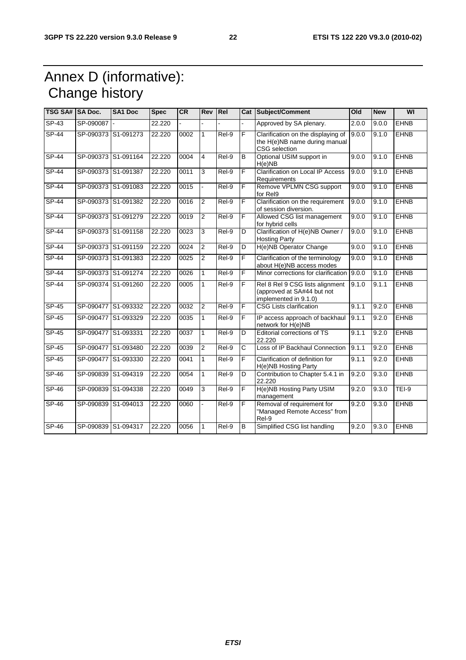## Annex D (informative): Change history

| <b>TSG SA# SA Doc.</b> |                     | <b>SA1 Doc</b>      | <b>Spec</b> | CR   | Rev Rel        |                    |   | Cat Subject/Comment                                                                    | O <sub>Id</sub> | <b>New</b> | WI           |
|------------------------|---------------------|---------------------|-------------|------|----------------|--------------------|---|----------------------------------------------------------------------------------------|-----------------|------------|--------------|
| $SP-43$                | SP-090087           |                     | 22.220      |      |                |                    |   | Approved by SA plenary.                                                                | 2.0.0           | 9.0.0      | <b>EHNB</b>  |
| <b>SP-44</b>           | SP-090373           | S1-091273           | 22.220      | 0002 | 1              | $\overline{Rel-9}$ | F | Clarification on the displaying of<br>the H(e)NB name during manual<br>CSG selection   | 9.0.0           | 9.1.0      | <b>EHNB</b>  |
| $SP-44$                |                     | SP-090373 S1-091164 | 22.220      | 0004 | 4              | Rel-9              | B | Optional USIM support in<br>H(e)NB                                                     | 9.0.0           | 9.1.0      | <b>EHNB</b>  |
| $SP-44$                | SP-090373           | S1-091387           | 22.220      | 0011 | 3              | Rel-9              | F | <b>Clarification on Local IP Access</b><br>Requirements                                | 9.0.0           | 9.1.0      | <b>EHNB</b>  |
| $SP-44$                |                     | SP-090373 S1-091083 | 22.220      | 0015 |                | $ReI-9$            | F | Remove VPLMN CSG support<br>for Rel9                                                   | 9.0.0           | 9.1.0      | <b>EHNB</b>  |
| $SP-44$                |                     | SP-090373 S1-091382 | 22.220      | 0016 | $\overline{2}$ | $ReI-9$            | F | Clarification on the requirement<br>of session diversion.                              | 9.0.0           | 9.1.0      | <b>EHNB</b>  |
| <b>SP-44</b>           | SP-090373           | S1-091279           | 22.220      | 0019 | 2              | Rel-9              | F | Allowed CSG list management<br>for hybrid cells                                        | 9.0.0           | 9.1.0      | <b>EHNB</b>  |
| <b>SP-44</b>           | SP-090373           | S1-091158           | 22.220      | 0023 | 3              | Rel-9              | D | Clarification of H(e)NB Owner /<br><b>Hosting Party</b>                                | 9.0.0           | 9.1.0      | <b>EHNB</b>  |
| <b>SP-44</b>           |                     | SP-090373 S1-091159 | 22.220      | 0024 | $\overline{2}$ | Rel-9              | D | H(e)NB Operator Change                                                                 | 9.0.0           | 9.1.0      | <b>EHNB</b>  |
| <b>SP-44</b>           | SP-090373           | S1-091383           | 22.220      | 0025 | $\overline{2}$ | Rel-9              | F | Clarification of the terminology<br>about H(e)NB access modes                          | 9.0.0           | 9.1.0      | <b>EHNB</b>  |
| $SP-44$                |                     | SP-090373 S1-091274 | 22.220      | 0026 | 1              | $ReI-9$            | F | Minor corrections for clarification                                                    | 9.0.0           | 9.1.0      | <b>EHNB</b>  |
| $SP-44$                |                     | SP-090374 S1-091260 | 22.220      | 0005 | 1              | Rel-9              | F | Rel 8 Rel 9 CSG lists alignment<br>(approved at SA#44 but not<br>implemented in 9.1.0) | 9.1.0           | 9.1.1      | <b>EHNB</b>  |
| SP-45                  |                     | SP-090477 S1-093332 | 22.220      | 0032 | $\overline{c}$ | Rel-9              | F | <b>CSG Lists clarification</b>                                                         | 9.1.1           | 9.2.0      | <b>EHNB</b>  |
| $SP-45$                | SP-090477           | S1-093329           | 22.220      | 0035 | 1              | Rel-9              | F | IP access approach of backhaul<br>network for H(e)NB                                   | 9.1.1           | 9.2.0      | <b>EHNB</b>  |
| $SP-45$                | SP-090477 S1-093331 |                     | 22.220      | 0037 | 1              | $Rel-9$            | D | Editorial corrections of TS<br>22.220                                                  | 9.1.1           | 9.2.0      | <b>EHNB</b>  |
| $SP-45$                |                     | SP-090477 S1-093480 | 22.220      | 0039 | $\overline{2}$ | $Rel-9$            | C | Loss of IP Backhaul Connection                                                         | 9.1.1           | 9.2.0      | <b>EHNB</b>  |
| $SP-45$                |                     | SP-090477 S1-093330 | 22.220      | 0041 | 1              | Rel-9              | F | Clarification of definition for<br>H(e)NB Hosting Party                                | 9.1.1           | 9.2.0      | <b>EHNB</b>  |
| SP-46                  |                     | SP-090839 S1-094319 | 22.220      | 0054 | $\mathbf{1}$   | Rel-9              | D | Contribution to Chapter 5.4.1 in<br>22.220                                             | 9.2.0           | 9.3.0      | <b>EHNB</b>  |
| $SP-46$                |                     | SP-090839 S1-094338 | 22.220      | 0049 | 3              | Rel-9              | F | H(e)NB Hosting Party USIM<br>management                                                | 9.2.0           | 9.3.0      | <b>TEI-9</b> |
| SP-46                  | SP-090839           | S1-094013           | 22.220      | 0060 |                | Rel-9              | F | Removal of requirement for<br>"Managed Remote Access" from<br>Rel-9                    | 9.2.0           | 9.3.0      | <b>EHNB</b>  |
| $SP-46$                |                     | SP-090839 S1-094317 | 22.220      | 0056 | 1              | $ReI-9$            | B | Simplified CSG list handling                                                           | 9.2.0           | 9.3.0      | <b>EHNB</b>  |